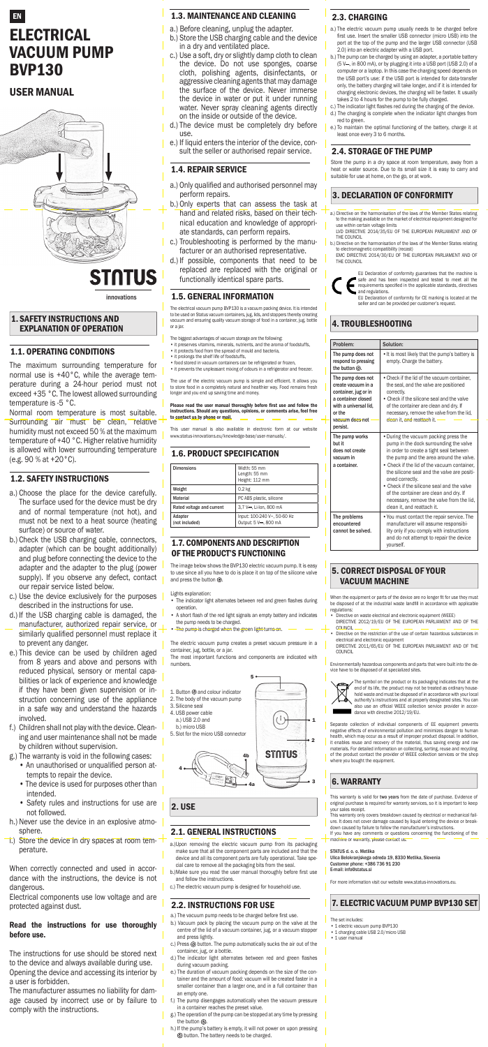# EN **ELECTRICAL** VACUUM PUMP BVP130

# USER MANUAL



# **STNTUS**

# 1.1. OPERATING CONDITIONS

The maximum surrounding temperature for normal use is +40°C, while the average temperature during a 24-hour period must not exceed +35 °C. The lowest allowed surrounding temperature is -5 °C.

Normal room temperature is most suitable. Surrounding air must be clean, relative humidity must not exceed 50 % at the maximum temperature of +40 °C. Higher relative humidity is allowed with lower surrounding temperature (e.g. 90 % at +20°C).

#### 1. SAFETY INSTRUCTIONS AND EXPLANATION OF OPERATION

#### 1.2. SAFETY INSTRUCTIONS

- a.) Choose the place for the device carefully. The surface used for the device must be dry and of normal temperature (not hot), and must not be next to a heat source (heating surface) or source of water. izvorna pomagala
- b.) Check the USB charging cable, connectors, adapter (which can be bought additionally) and plug before connecting the device to the adapter and the adapter to the plug (power supply). If you observe any defect, contact our repair service listed below.
- c.) Use the device exclusively for the purposes

described in the instructions for use.

The electrical vacuum pump BVP130 is a vacuum packing device. It is intended to be used on Status vacuum containers, jug, lids, and stoppers thereby creating vacuum and ensuring quality vacuum storage of food in a container, jug, bottle or a jar. innovations and the second second second second second second second second second second second second second second second second second second second second second second second second second second second second second

- d.) If the USB charging cable is damaged, the manufacturer, authorized repair service, or similarly qualified personnel must replace it to prevent any danger.
- e.) This device can be used by children aged from 8 years and above and persons with reduced physical, sensory or mental capabilities or lack of experience and knowledge if they have been given supervision or instruction concerning use of the appliance in a safe way and understand the hazards involved.
- f.) Children shall not play with the device. Cleaning and user maintenance shall not be made by children without supervision.
- g.) The warranty is void in the following cases:
	- An unauthorised or unqualified person attempts to repair the device.
	- The device is used for purposes other than intended.
	- Safety rules and instructions for use are not followed.
- h.) Never use the device in an explosive atmosphere.
- i.) Store the device in dry spaces at room temperature.

Please read the user manual thoroughly before first use and follow the instructions. Should any questions, opinions, or comments arise, feel free to contact us by phone or mail. izvirni pri $\mathbb{Z}^n$ 

When correctly connected and used in accordance with the instructions, the device is not dangerous.

Electrical components use low voltage and are protected against dust.

The image below shows the BVP130 electric vacuum pump. It is easy to use since all you have to do is place it on top of the silicone valve and press the button  $\circledcirc$ .

#### Read the instructions for use thoroughly before use.

- A short flash of the red light signals an empty battery and indicates the pump needs to be charged.
- The pump is charged when the green light turns on.

The instructions for use should be stored next to the device and always available during use. Opening the device and accessing its interior by a user is forbidden.

The manufacturer assumes no liability for damage caused by incorrect use or by failure to comply with the instructions.

#### 1.4. REPAIR SERVICE

- 1. Button  $\circledcirc$  and colour indicator
- 2. The body of the vacuum pump
- 3. Silicone seal
- 4. USB power cable
- a.) USB 2.0 and
- b.) micro USB 5. Slot for the micro USB connector
- a.) Only qualified and authorised personnel may perform repairs.
- b.) Only experts that can assess the task at hand and related risks, based on their technical education and knowledge of appropriate standards, can perform repairs.
- c.) Troubleshooting is performed by the manufacturer or an authorised representative.
- d.) If possible, components that need to be replaced are replaced with the original or functionally identical spare parts.

#### 1.5. GENERAL INFORMATION

- The biggest advantages of vacuum storage are the following:
- it preserves vitamins, minerals, nutrients, and the aroma of foodstuffs,
- it protects food from the spread of mould and bacteria,
- it prolongs the shelf life of foodstuffs, • food stored in vacuum containers can be refrigerated or frozen,
- it prevents the unpleasant mixing of odours in a refrigerator and freezer.

The use of the electric vacuum pump is simple and efficient. It allows you to store food in a completely natural and healthier way. Food remains fresh longer and you end up saving time and money.

EU Declaration of conformity for CE marking is located at the seller and can be provided per customer's request.

This user manual is also available in electronic form at our website www.status-innovations.eu/knowledge-base/user-manuals/.

# 1.6. PRODUCT SPECIFICATION

| <b>Dimensions</b>         | Width: 55 mm<br>Length: 55 mm<br>Height: 112 mm     |
|---------------------------|-----------------------------------------------------|
| Weight                    | 0.2 <sub>kg</sub>                                   |
| Material                  | PC ABS plastic, silicone                            |
| Rated voltage and current | 3.7 V---. Li-Ion. 800 mA                            |
| Adapter<br>(not included) | Input: 100-240 V~, 50-60 Hz<br>Output: 5 V-, 800 mA |

#### 1.7. COMPONENTS AND DESCRIPTION OF THE PRODUCT'S FUNCTIONING

Lights explanation:

• The indicator light alternates between red and green flashes during

operation.

The electric vacuum pump creates a preset vacuum pressure in a container, jug, bottle, or a jar.

The most important functions and components are indicated with numbers.

5

This warranty is valid for two years from the date of purchase. Evidence of original purchase is required for warranty services, so it is important to keep your sales receipt.

1



#### 2.1. GENERAL INSTRUCTIONS

If you have any comments or questions concerning the functioning of the machine or warranty, please contact us:

STATUS d. o. o. Metlika Ulica Belokranjskega odreda 19, 8330 Metlika, Slovenia Customer phone: +386 736 91 230 E-mail: info@status.si

- a.)Upon removing the electric vacuum pump from its packaging make sure that all the component parts are included and that the device and all its component parts are fully operational. Take special care to remove all the packaging bits from the seal.
- b.)Make sure you read the user manual thoroughly before first use and follow the instructions.
- c.) The electric vacuum pump is designed for household use.

#### 2.2. INSTRUCTIONS FOR USE

- a.) The vacuum pump needs to be charged before first use.
- b.) Vacuum pack by placing the vacuum pump on the valve at the centre of the lid of a vacuum container, jug, or a vacuum stopper and press lightly.
- c.) Press  $\circledcirc$  button. The pump automatically sucks the air out of the container, jug, or a bottle.
- d.) The indicator light alternates between red and green flashes during vacuum packing.
- e.) The duration of vacuum packing depends on the size of the container and the amount of food: vacuum will be created faster in a smaller container than a larger one, and in a full container than an empty one.
- f.) The pump disengages automatically when the vacuum pressure in a container reaches the preset value.
- g.) The operation of the pump can be stopped at any time by pressing the button  $\circledcirc$ .
- h.) If the pump's battery is empty, it will not power on upon pressing button. The battery needs to be charged.

# 2.4. STORAGE OF THE PUMP

Store the pump in a dry space at room temperature, away from a heat or water source. Due to its small size it is easy to carry and suitable for use at home, on the go, or at work.

- a.) Directive on the harmonisation of the laws of the Member States relating to the making available on the market of electrical equipment designed for use within certain voltage limits
- LVD DIRECTIVE 2014/35/EU OF THE EUROPEAN PARLIAMENT AND OF THE COUNCIL
- b.) Directive on the harmonisation of the laws of the Member States relating to electromagnetic compatibility (recast) EMC DIRECTIVE 2014/30/EU OF THE EUROPEAN PARLIAMENT AND OF
- THE COUNCIL



EU Declaration of conformity guarantees that the machine is safe and has been inspected and tested to meet all the requirements specified in the applicable standards, directives and regulations.

# 3. DECLARATION OF CONFORMITY

# 4. TROUBLESHOOTING

#### 5. CORRECT DISPOSAL OF YOUR VACUUM MACHINE

When the equipment or parts of the device are no longer fit for use they must

be disposed of at the industrial waste landfill in accordance with applicable regulations:

- Directive on waste electrical and electronic equipment (WEEE) DIRECTIVE 2012/19/EU OF THE EUROPEAN PARLIAMENT AND OF THE **COLINCIL**
- Directive on the restriction of the use of certain hazardous substances in electrical and electronic equipment DIRECTIVE 2011/65/EU OF THE EUROPEAN PARLIAMENT AND OF THE

COUNCIL

Environmentally hazardous components and parts that were built into the device have to be disposed of at specialized sites.



|  | Problem:                                                                                                                                                | Solution:                                                                                                                                                                                                                                                                                                                                                                                                                                                 |
|--|---------------------------------------------------------------------------------------------------------------------------------------------------------|-----------------------------------------------------------------------------------------------------------------------------------------------------------------------------------------------------------------------------------------------------------------------------------------------------------------------------------------------------------------------------------------------------------------------------------------------------------|
|  | The pump does not<br>respond to pressing<br>the button $\circledcirc$ .                                                                                 | • It is most likely that the pump's battery is<br>empty. Charge the battery.                                                                                                                                                                                                                                                                                                                                                                              |
|  | The pump does not<br>create vacuum in a<br>container, jug or in<br>a container closed<br>with a universal lid,<br>or the<br>vacuum does not<br>persist. | • Check if the lid of the vacuum container,<br>the seal, and the valve are positioned<br>correctly.<br>• Check if the silicone seal and the valve<br>of the container are clean and dry. If<br>necessary, remove the valve from the lid,<br>clean it, and reattach it.                                                                                                                                                                                    |
|  | The pump works<br>but it<br>does not create<br>vacuum in<br>a container.                                                                                | • During the vacuum packing press the<br>pump in the dock surrounding the valve<br>in order to create a tight seal between<br>the pump and the area around the valve.<br>• Check if the lid of the vacuum container.<br>the silicone seal and the valve are positi-<br>oned correctly.<br>• Check if the silicone seal and the valve<br>of the container are clean and dry. If<br>necessary, remove the valve from the lid.<br>clean it, and reattach it. |
|  | The problems<br>encountered<br>cannot be solved.                                                                                                        | • You must contact the repair service. The<br>manufacturer will assume responsibi-<br>lity only if you comply with instructions<br>and do not attempt to repair the device<br>vourself.                                                                                                                                                                                                                                                                   |

The symbol on the product or its packaging indicates that at the end of its life, the product may not be treated as ordinary household waste and must be disposed of in accordance with your local authority's instructions and at properly designated sites. You can also use an official WEEE collection service provider in accordance with directive 2012/19/EU.

Separate collection of individual components of EE equipment prevents negative effects of environmental pollution and minimizes danger to human health, which may occur as a result of improper product disposal. In addition, it enables reuse and recovery of the material, thus saving energy and raw materials. For detailed information on collecting, sorting, reuse and recycling of the product contact the provider of WEEE collection services or the shop where you bought the equipment.

This warranty only covers breakdown caused by electrical or mechanical failure. It does not cover damage caused by liquid entering the device or breakdown caused by failure to follow the manufacturer's instructions.

For more information visit our website www.status-innovations.eu.

# 6. WARRANTY

# 7. ELECTRIC VACUUM PUMP BVP130 SET

The set includes:

- 1 electric vacuum pump BVP130
- 1 charging cable USB 2.0/micro USB
- 1 user manual

# 2. USE

innovations

#### 2.3. CHARGING

- a.) The electric vacuum pump usually needs to be charged before first use. Insert the smaller USB connector (micro USB) into the port at the top of the pump and the larger USB connector (USB 2.0) into an electric adapter with a USB port.
- b.) The pump can be charged by using an adapter, a portable battery (5 V-, in 800 mA), or by plugging it into a USB port (USB 2.0) of a computer or a laptop. In this case the charging speed depends on the USB port's use: if the USB port is intended for data-transfer only, the battery charging will take longer, and if it is intended for charging electronic devices, the charging will be faster. It usually takes 2 to 4 hours for the pump to be fully charged.
- c.) The indicator light flashes red during the charging of the device.
- d.) The charging is complete when the indicator light changes from red to green.
- e.) To maintain the optimal functioning of the battery, charge it at least once every 3 to 6 months.

#### 1.3. MAINTENANCE AND CLEANING

- a.) Before cleaning, unplug the adapter.
- b.) Store the USB charging cable and the device in a dry and ventilated place.
- c.) Use a soft, dry or slightly damp cloth to clean the device. Do not use sponges, coarse cloth, polishing agents, disinfectants, or aggressive cleaning agents that may damage the surface of the device. Never immerse the device in water or put it under running water. Never spray cleaning agents directly on the inside or outside of the device.
- d.) The device must be completely dry before use.
- e.) If liquid enters the interior of the device, consult the seller or authorised repair service.